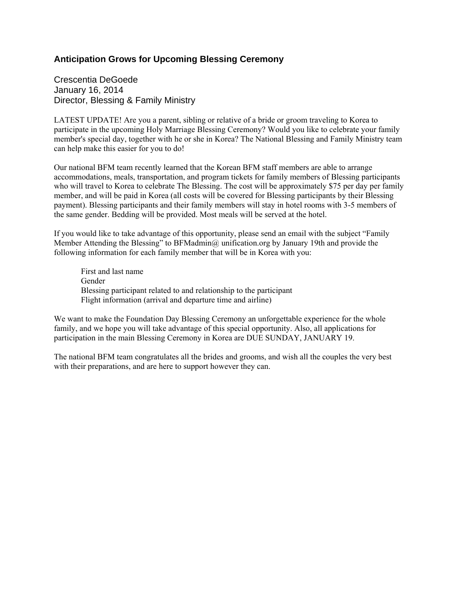## **Anticipation Grows for Upcoming Blessing Ceremony**

Crescentia DeGoede January 16, 2014 Director, Blessing & Family Ministry

LATEST UPDATE! Are you a parent, sibling or relative of a bride or groom traveling to Korea to participate in the upcoming Holy Marriage Blessing Ceremony? Would you like to celebrate your family member's special day, together with he or she in Korea? The National Blessing and Family Ministry team can help make this easier for you to do!

Our national BFM team recently learned that the Korean BFM staff members are able to arrange accommodations, meals, transportation, and program tickets for family members of Blessing participants who will travel to Korea to celebrate The Blessing. The cost will be approximately \$75 per day per family member, and will be paid in Korea (all costs will be covered for Blessing participants by their Blessing payment). Blessing participants and their family members will stay in hotel rooms with 3-5 members of the same gender. Bedding will be provided. Most meals will be served at the hotel.

If you would like to take advantage of this opportunity, please send an email with the subject "Family Member Attending the Blessing" to BFMadmin@ unification.org by January 19th and provide the following information for each family member that will be in Korea with you:

First and last name Gender Blessing participant related to and relationship to the participant Flight information (arrival and departure time and airline)

We want to make the Foundation Day Blessing Ceremony an unforgettable experience for the whole family, and we hope you will take advantage of this special opportunity. Also, all applications for participation in the main Blessing Ceremony in Korea are DUE SUNDAY, JANUARY 19.

The national BFM team congratulates all the brides and grooms, and wish all the couples the very best with their preparations, and are here to support however they can.